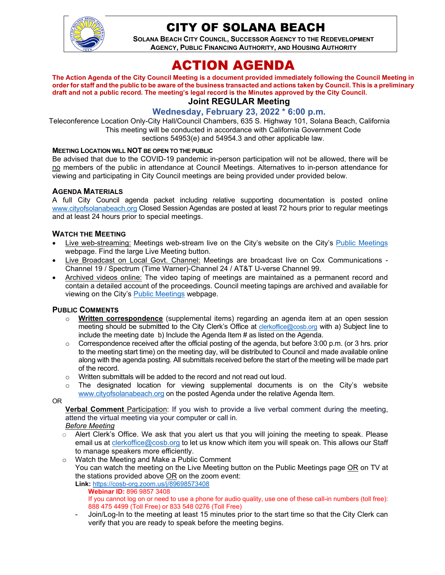

## CITY OF SOLANA BEACH

**SOLANA BEACH CITY COUNCIL, SUCCESSOR AGENCY TO THE REDEVELOPMENT AGENCY, PUBLIC FINANCING AUTHORITY, AND HOUSING AUTHORITY** 

# ACTION AGENDA

**The Action Agenda of the City Council Meeting is a document provided immediately following the Council Meeting in order for staff and the public to be aware of the business transacted and actions taken by Council. This is a preliminary draft and not a public record. The meeting's legal record is the Minutes approved by the City Council. Joint REGULAR Meeting**

#### **Wednesday, February 23, 2022 \* 6:00 p.m.**

Teleconference Location Only-City Hall/Council Chambers, 635 S. Highway 101, Solana Beach, California This meeting will be conducted in accordance with California Government Code sections 54953(e) and 54954.3 and other applicable law.

#### **MEETING LOCATION WILL NOT BE OPEN TO THE PUBLIC**

Be advised that due to the COVID-19 pandemic in-person participation will not be allowed, there will be no members of the public in attendance at Council Meetings. Alternatives to in-person attendance for viewing and participating in City Council meetings are being provided under provided below.

#### **AGENDA MATERIALS**

A full City Council agenda packet including relative supporting documentation is posted online [www.cityofsolanabeach.org](http://www.cityofsolanabeach.org/) Closed Session Agendas are posted at least 72 hours prior to regular meetings and at least 24 hours prior to special meetings.

#### **WATCH THE MEETING**

- Live web-streaming: Meetings web-stream live on the City's website on the City's [Public Meetings](https://urldefense.proofpoint.com/v2/url?u=https-3A__www.ci.solana-2Dbeach.ca.us_index.asp-3FSEC-3DF0F1200D-2D21C6-2D4A88-2D8AE1-2D0BC07C1A81A7-26Type-3DB-5FBASIC&d=DwMFAg&c=euGZstcaTDllvimEN8b7jXrwqOf-v5A_CdpgnVfiiMM&r=1XAsCUuqwK_tji2t0s1uIQ&m=wny2RVfZJ2tN24LkqZmkUWNpwL_peNtTZUBlTBZiMM4&s=WwpcEQpHHkFen6nS6q2waMuQ_VMZ-i1YZ60lD-dYRRE&e=) webpage. Find the large Live Meeting button.
- Live Broadcast on Local Govt. Channel: Meetings are broadcast live on Cox Communications Channel 19 / Spectrum (Time Warner)-Channel 24 / AT&T U-verse Channel 99.
- Archived videos online: The video taping of meetings are maintained as a permanent record and contain a detailed account of the proceedings. Council meeting tapings are archived and available for viewing on the City's **Public Meetings** webpage.

#### **PUBLIC COMMENTS**

- o **Written correspondence** (supplemental items) regarding an agenda item at an open session meeting should be submitted to the City Clerk's Office at [clerkoffice@cosb.org](mailto:clerkoffice@cosb.org) with a) Subject line to include the meeting date b) Include the Agenda Item # as listed on the Agenda.
- $\circ$  Correspondence received after the official posting of the agenda, but before 3:00 p.m. (or 3 hrs. prior to the meeting start time) on the meeting day, will be distributed to Council and made available online along with the agenda posting. All submittals received before the start of the meeting will be made part of the record.
- o Written submittals will be added to the record and not read out loud.
- $\circ$  The designated location for viewing supplemental documents is on the City's website [www.cityofsolanabeach.org](http://www.cityofsolanabeach.org/) on the posted Agenda under the relative Agenda Item.

OR

**Verbal Comment** Participation: If you wish to provide a live verbal comment during the meeting, attend the virtual meeting via your computer or call in.

#### *Before Meeting*

- $\circ$  Alert Clerk's Office. We ask that you alert us that you will joining the meeting to speak. Please email us at [clerkoffice@cosb.org](mailto:clerkoffice@cosb.org) to let us know which item you will speak on. This allows our Staff to manage speakers more efficiently.
- o Watch the Meeting and Make a Public Comment You can watch the meeting on the Live Meeting button on the Public Meetings page OR on TV at the stations provided above OR on the zoom event:
	- **Link:** <https://cosb-org.zoom.us/j/89698573408> **Webinar ID:** 896 9857 3408 If you cannot log on or need to use a phone for audio quality, use one of these call-in numbers (toll free): 888 475 4499 (Toll Free) or 833 548 0276 (Toll Free)
	- Join/Log-In to the meeting at least 15 minutes prior to the start time so that the City Clerk can verify that you are ready to speak before the meeting begins.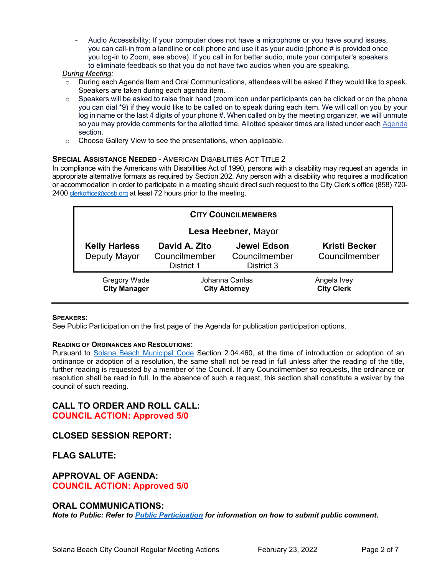Audio Accessibility: If your computer does not have a microphone or you have sound issues, you can call-in from a landline or cell phone and use it as your audio (phone # is provided once you log-in to Zoom, see above). If you call in for better audio, mute your computer's speakers to eliminate feedback so that you do not have two audios when you are speaking.

#### *During Meeting:*

- $\circ$  During each Agenda Item and Oral Communications, attendees will be asked if they would like to speak. Speakers are taken during each agenda item.
- $\circ$  Speakers will be asked to raise their hand (zoom icon under participants can be clicked or on the phone you can dial \*9) if they would like to be called on to speak during each item. We will call on you by your log in name or the last 4 digits of your phone #. When called on by the meeting organizer, we will unmute so you may provide comments for the allotted time. Allotted speaker times are listed under eac[h Agenda](https://urldefense.proofpoint.com/v2/url?u=https-3A__www.ci.solana-2Dbeach.ca.us_index.asp-3FSEC-3DF0F1200D-2D21C6-2D4A88-2D8AE1-2D0BC07C1A81A7-26Type-3DB-5FBASIC&d=DwMFaQ&c=euGZstcaTDllvimEN8b7jXrwqOf-v5A_CdpgnVfiiMM&r=1XAsCUuqwK_tji2t0s1uIQ&m=C7WzXfOw2_nkEFMJClT55zZsF4tmIf_7KTn0o1WpYqI&s=3DcsWExM2_nx_xpvFtXslUjphiXd0MDCCF18y_Qy5yU&e=) section.
- o Choose Gallery View to see the presentations, when applicable.

#### **SPECIAL ASSISTANCE NEEDED - AMERICAN DISABILITIES ACT TITLE 2**

In compliance with the Americans with Disabilities Act of 1990, persons with a disability may request an agenda in appropriate alternative formats as required by Section 202. Any person with a disability who requires a modification or accommodation in order to participate in a meeting should direct such request to the City Clerk's office (858) 720 2400 [clerkoffice@cosb.org](mailto:EMAILGRP-CityClerksOfc@cosb.org) at least 72 hours prior to the meeting.

| <b>CITY COUNCILMEMBERS</b>                 |                                              |                                            |                                       |
|--------------------------------------------|----------------------------------------------|--------------------------------------------|---------------------------------------|
| Lesa Heebner, Mayor                        |                                              |                                            |                                       |
| <b>Kelly Harless</b><br>Deputy Mayor       | David A. Zito<br>Councilmember<br>District 1 | Jewel Edson<br>Councilmember<br>District 3 | <b>Kristi Becker</b><br>Councilmember |
| <b>Gregory Wade</b><br><b>City Manager</b> | Johanna Canlas<br><b>City Attorney</b>       |                                            | Angela Ivey<br><b>City Clerk</b>      |

#### **SPEAKERS:**

See Public Participation on the first page of the Agenda for publication participation options.

#### **READING OF ORDINANCES AND RESOLUTIONS:**

Pursuant to [Solana Beach Municipal Code](https://www.codepublishing.com/CA/SolanaBeach/) Section 2.04.460, at the time of introduction or adoption of an ordinance or adoption of a resolution, the same shall not be read in full unless after the reading of the title, further reading is requested by a member of the Council. If any Councilmember so requests, the ordinance or resolution shall be read in full. In the absence of such a request, this section shall constitute a waiver by the council of such reading.

#### **CALL TO ORDER AND ROLL CALL: COUNCIL ACTION: Approved 5/0**

## **CLOSED SESSION REPORT:**

**FLAG SALUTE:**

#### **APPROVAL OF AGENDA: COUNCIL ACTION: Approved 5/0**

#### **ORAL COMMUNICATIONS:**

*Note to Public: Refer to Public Participation for information on how to submit public comment.*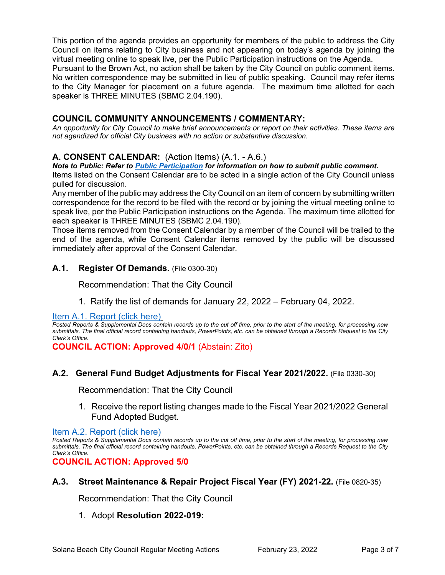This portion of the agenda provides an opportunity for members of the public to address the City Council on items relating to City business and not appearing on today's agenda by joining the virtual meeting online to speak live, per the Public Participation instructions on the Agenda.

Pursuant to the Brown Act, no action shall be taken by the City Council on public comment items. No written correspondence may be submitted in lieu of public speaking. Council may refer items to the City Manager for placement on a future agenda. The maximum time allotted for each speaker is THREE MINUTES (SBMC 2.04.190).

## **COUNCIL COMMUNITY ANNOUNCEMENTS / COMMENTARY:**

*An opportunity for City Council to make brief announcements or report on their activities. These items are not agendized for official City business with no action or substantive discussion.* 

#### **A. CONSENT CALENDAR:** (Action Items) (A.1. - A.6.)

*Note to Public: Refer to Public Participation for information on how to submit public comment.*  Items listed on the Consent Calendar are to be acted in a single action of the City Council unless pulled for discussion.

Any member of the public may address the City Council on an item of concern by submitting written correspondence for the record to be filed with the record or by joining the virtual meeting online to speak live, per the Public Participation instructions on the Agenda. The maximum time allotted for each speaker is THREE MINUTES (SBMC 2.04.190).

Those items removed from the Consent Calendar by a member of the Council will be trailed to the end of the agenda, while Consent Calendar items removed by the public will be discussed immediately after approval of the Consent Calendar.

#### **A.1. Register Of Demands.** (File 0300-30)

Recommendation: That the City Council

1. Ratify the list of demands for January 22, 2022 – February 04, 2022.

[Item A.1. Report \(click here\)](https://solanabeach.govoffice3.com/vertical/Sites/%7B840804C2-F869-4904-9AE3-720581350CE7%7D/uploads/A.1._Report_(click_here)_2-23-22_-_O.pdf) 

*Posted Reports & Supplemental Docs contain records up to the cut off time, prior to the start of the meeting, for processing new submittals. The final official record containing handouts, PowerPoints, etc. can be obtained through a Records Request to the City Clerk's Office.*

**COUNCIL ACTION: Approved 4/0/1** (Abstain: Zito)

#### **A.2. General Fund Budget Adjustments for Fiscal Year 2021/2022.** (File 0330-30)

Recommendation: That the City Council

1. Receive the report listing changes made to the Fiscal Year 2021/2022 General Fund Adopted Budget.

[Item A.2. Report \(click here\)](https://solanabeach.govoffice3.com/vertical/Sites/%7B840804C2-F869-4904-9AE3-720581350CE7%7D/uploads/A.2._Report_(click_here)_2-23-22_-_O.pdf) 

*Posted Reports & Supplemental Docs contain records up to the cut off time, prior to the start of the meeting, for processing new submittals. The final official record containing handouts, PowerPoints, etc. can be obtained through a Records Request to the City Clerk's Office.*

**COUNCIL ACTION: Approved 5/0**

#### **A.3. Street Maintenance & Repair Project Fiscal Year (FY) 2021-22.** (File 0820-35)

Recommendation: That the City Council

#### 1. Adopt **Resolution 2022-019:**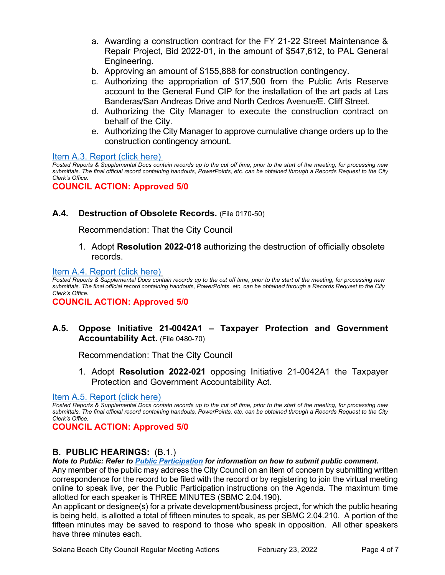- a. Awarding a construction contract for the FY 21-22 Street Maintenance & Repair Project, Bid 2022-01, in the amount of \$547,612, to PAL General Engineering.
- b. Approving an amount of \$155,888 for construction contingency.
- c. Authorizing the appropriation of \$17,500 from the Public Arts Reserve account to the General Fund CIP for the installation of the art pads at Las Banderas/San Andreas Drive and North Cedros Avenue/E. Cliff Street.
- d. Authorizing the City Manager to execute the construction contract on behalf of the City.
- e. Authorizing the City Manager to approve cumulative change orders up to the construction contingency amount.

[Item A.3. Report \(click here\)](https://solanabeach.govoffice3.com/vertical/Sites/%7B840804C2-F869-4904-9AE3-720581350CE7%7D/uploads/A.3._Report_(click_here)_2-23-22_-_O.pdf) 

*Posted Reports & Supplemental Docs contain records up to the cut off time, prior to the start of the meeting, for processing new submittals. The final official record containing handouts, PowerPoints, etc. can be obtained through a Records Request to the City Clerk's Office.*

**COUNCIL ACTION: Approved 5/0**

## **A.4. Destruction of Obsolete Records.** (File 0170-50)

Recommendation: That the City Council

1. Adopt **Resolution 2022-018** authorizing the destruction of officially obsolete records.

#### [Item A.4. Report \(click here\)](https://solanabeach.govoffice3.com/vertical/Sites/%7B840804C2-F869-4904-9AE3-720581350CE7%7D/uploads/A.4._Report_(click_here)_2-23-22_-_O.pdf)

*Posted Reports & Supplemental Docs contain records up to the cut off time, prior to the start of the meeting, for processing new submittals. The final official record containing handouts, PowerPoints, etc. can be obtained through a Records Request to the City Clerk's Office.*

**COUNCIL ACTION: Approved 5/0**

## **A.5. Oppose Initiative 21-0042A1 – Taxpayer Protection and Government Accountability Act.** (File 0480-70)

Recommendation: That the City Council

1. Adopt **Resolution 2022-021** opposing Initiative 21-0042A1 the Taxpayer Protection and Government Accountability Act.

[Item A.5. Report \(click here\)](https://solanabeach.govoffice3.com/vertical/Sites/%7B840804C2-F869-4904-9AE3-720581350CE7%7D/uploads/A.5._Report_(click_here)_2-23-22_-_O.pdf) 

*Posted Reports & Supplemental Docs contain records up to the cut off time, prior to the start of the meeting, for processing new submittals. The final official record containing handouts, PowerPoints, etc. can be obtained through a Records Request to the City Clerk's Office.*

**COUNCIL ACTION: Approved 5/0**

## **B. PUBLIC HEARINGS:** (B.1.)

*Note to Public: Refer to Public Participation for information on how to submit public comment.* 

Any member of the public may address the City Council on an item of concern by submitting written correspondence for the record to be filed with the record or by registering to join the virtual meeting online to speak live, per the Public Participation instructions on the Agenda. The maximum time allotted for each speaker is THREE MINUTES (SBMC 2.04.190).

An applicant or designee(s) for a private development/business project, for which the public hearing is being held, is allotted a total of fifteen minutes to speak, as per SBMC 2.04.210. A portion of the fifteen minutes may be saved to respond to those who speak in opposition. All other speakers have three minutes each.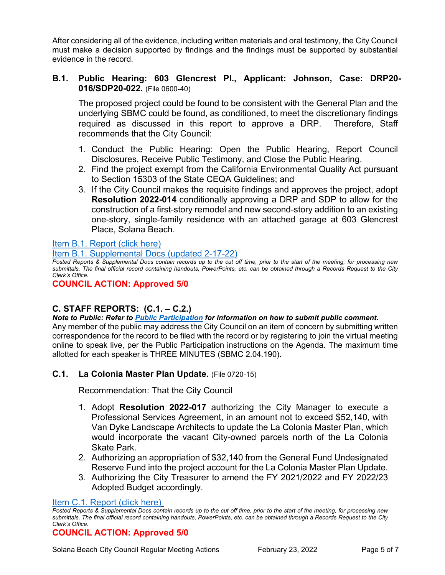After considering all of the evidence, including written materials and oral testimony, the City Council must make a decision supported by findings and the findings must be supported by substantial evidence in the record.

#### **B.1. Public Hearing: 603 Glencrest Pl., Applicant: Johnson, Case: DRP20- 016/SDP20-022.** (File 0600-40)

The proposed project could be found to be consistent with the General Plan and the underlying SBMC could be found, as conditioned, to meet the discretionary findings required as discussed in this report to approve a DRP. Therefore, Staff recommends that the City Council:

- 1. Conduct the Public Hearing: Open the Public Hearing, Report Council Disclosures, Receive Public Testimony, and Close the Public Hearing.
- 2. Find the project exempt from the California Environmental Quality Act pursuant to Section 15303 of the State CEQA Guidelines; and
- 3. If the City Council makes the requisite findings and approves the project, adopt **Resolution 2022-014** conditionally approving a DRP and SDP to allow for the construction of a first-story remodel and new second-story addition to an existing one-story, single-family residence with an attached garage at 603 Glencrest Place, Solana Beach.

[Item B.1. Report \(click here\)](https://solanabeach.govoffice3.com/vertical/Sites/%7B840804C2-F869-4904-9AE3-720581350CE7%7D/uploads/B.1._Report_(click_here)_2-23-22_-_O.pdf)

[Item B.1. Supplemental Docs \(updated 2-17-22\)](https://solanabeach.govoffice3.com/vertical/Sites/%7B840804C2-F869-4904-9AE3-720581350CE7%7D/uploads/B.1._Supp_Docs_2-17_-_O.pdf)

*Posted Reports & Supplemental Docs contain records up to the cut off time, prior to the start of the meeting, for processing new submittals. The final official record containing handouts, PowerPoints, etc. can be obtained through a Records Request to the City Clerk's Office.*

**COUNCIL ACTION: Approved 5/0**

## **C. STAFF REPORTS: (C.1. – C.2.)**

*Note to Public: Refer to Public Participation for information on how to submit public comment.* 

Any member of the public may address the City Council on an item of concern by submitting written correspondence for the record to be filed with the record or by registering to join the virtual meeting online to speak live, per the Public Participation instructions on the Agenda. The maximum time allotted for each speaker is THREE MINUTES (SBMC 2.04.190).

## **C.1. La Colonia Master Plan Update.** (File 0720-15)

Recommendation: That the City Council

- 1. Adopt **Resolution 2022-017** authorizing the City Manager to execute a Professional Services Agreement, in an amount not to exceed \$52,140, with Van Dyke Landscape Architects to update the La Colonia Master Plan, which would incorporate the vacant City-owned parcels north of the La Colonia Skate Park.
- 2. Authorizing an appropriation of \$32,140 from the General Fund Undesignated Reserve Fund into the project account for the La Colonia Master Plan Update.
- 3. Authorizing the City Treasurer to amend the FY 2021/2022 and FY 2022/23 Adopted Budget accordingly.

#### Item C.1. Report (click here)

#### **COUNCIL ACTION: Approved 5/0**

*Posted Reports & Supplemental Docs contain records up to the cut off time, prior to the start of the meeting, for processing new submittals. The final official record containing handouts, PowerPoints, etc. can be obtained through a Records Request to the City Clerk's Office.*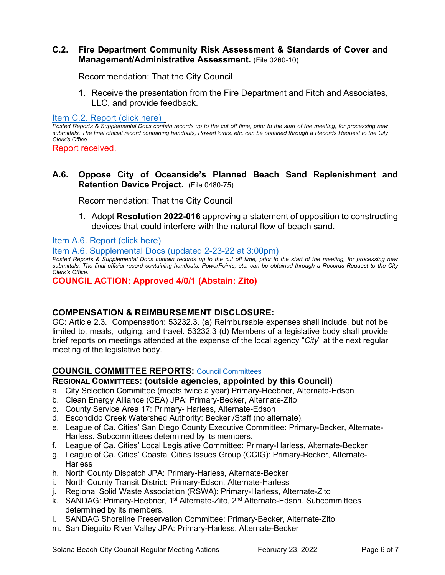## **C.2. Fire Department Community Risk Assessment & Standards of Cover and Management/Administrative Assessment.** (File 0260-10)

Recommendation: That the City Council

1. Receive the presentation from the Fire Department and Fitch and Associates, LLC, and provide feedback.

[Item C.2. Report](https://solanabeach.govoffice3.com/vertical/Sites/%7B840804C2-F869-4904-9AE3-720581350CE7%7D/uploads/C.2._Report_(click_here)_2-23-22_-_O.pdf) (click here)

*Posted Reports & Supplemental Docs contain records up to the cut off time, prior to the start of the meeting, for processing new submittals. The final official record containing handouts, PowerPoints, etc. can be obtained through a Records Request to the City Clerk's Office.*

Report received.

**A.6. Oppose City of Oceanside's Planned Beach Sand Replenishment and Retention Device Project.** (File 0480-75)

Recommendation: That the City Council

1. Adopt **Resolution 2022-016** approving a statement of opposition to constructing devices that could interfere with the natural flow of beach sand.

[Item A.6. Report \(click here\)](https://solanabeach.govoffice3.com/vertical/Sites/%7B840804C2-F869-4904-9AE3-720581350CE7%7D/uploads/A.6._Report_(click_here)_2-23-22_-_O.pdf) 

[Item A.6. Supplemental Docs \(updated 2-23-22 at 3:00pm\)](https://solanabeach.govoffice3.com/vertical/Sites/%7B840804C2-F869-4904-9AE3-720581350CE7%7D/uploads/A.6._Supp_Docs_(2-23_255pm)_-O.pdf)

*Posted Reports & Supplemental Docs contain records up to the cut off time, prior to the start of the meeting, for processing new submittals. The final official record containing handouts, PowerPoints, etc. can be obtained through a Records Request to the City Clerk's Office.*

**COUNCIL ACTION: Approved 4/0/1 (Abstain: Zito)** 

## **COMPENSATION & REIMBURSEMENT DISCLOSURE:**

GC: Article 2.3. Compensation: 53232.3. (a) Reimbursable expenses shall include, but not be limited to, meals, lodging, and travel. 53232.3 (d) Members of a legislative body shall provide brief reports on meetings attended at the expense of the local agency "*City*" at the next regular meeting of the legislative body.

## **COUNCIL COMMITTEE REPORTS:** [Council Committees](https://www.ci.solana-beach.ca.us/index.asp?SEC=584E1192-3850-46EA-B977-088AC3E81E0D&Type=B_BASIC)

## **REGIONAL COMMITTEES: (outside agencies, appointed by this Council)**

- a. City Selection Committee (meets twice a year) Primary-Heebner, Alternate-Edson
- b. Clean Energy Alliance (CEA) JPA: Primary-Becker, Alternate-Zito
- c. County Service Area 17: Primary- Harless, Alternate-Edson
- d. Escondido Creek Watershed Authority: Becker /Staff (no alternate).
- e. League of Ca. Cities' San Diego County Executive Committee: Primary-Becker, Alternate-Harless. Subcommittees determined by its members.
- f. League of Ca. Cities' Local Legislative Committee: Primary-Harless, Alternate-Becker
- g. League of Ca. Cities' Coastal Cities Issues Group (CCIG): Primary-Becker, Alternate-**Harless**
- h. North County Dispatch JPA: Primary-Harless, Alternate-Becker
- i. North County Transit District: Primary-Edson, Alternate-Harless
- j. Regional Solid Waste Association (RSWA): Primary-Harless, Alternate-Zito
- k. SANDAG: Primary-Heebner,  $1<sup>st</sup>$  Alternate-Zito,  $2<sup>nd</sup>$  Alternate-Edson. Subcommittees determined by its members.
- l. SANDAG Shoreline Preservation Committee: Primary-Becker, Alternate-Zito
- m. San Dieguito River Valley JPA: Primary-Harless, Alternate-Becker